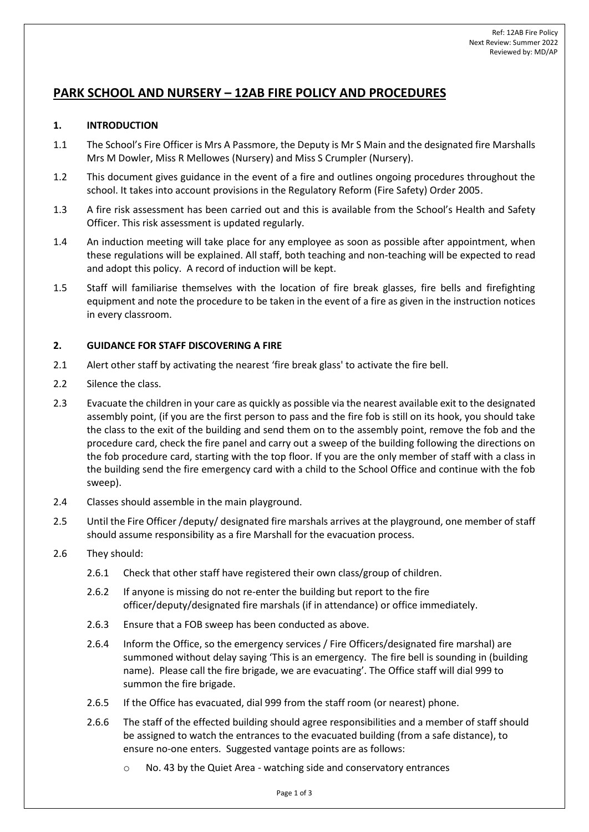# **PARK SCHOOL AND NURSERY – 12AB FIRE POLICY AND PROCEDURES**

# **1. INTRODUCTION**

- 1.1 The School's Fire Officer is Mrs A Passmore, the Deputy is Mr S Main and the designated fire Marshalls Mrs M Dowler, Miss R Mellowes (Nursery) and Miss S Crumpler (Nursery).
- 1.2 This document gives guidance in the event of a fire and outlines ongoing procedures throughout the school. It takes into account provisions in the Regulatory Reform (Fire Safety) Order 2005.
- 1.3 A fire risk assessment has been carried out and this is available from the School's Health and Safety Officer. This risk assessment is updated regularly.
- 1.4 An induction meeting will take place for any employee as soon as possible after appointment, when these regulations will be explained. All staff, both teaching and non-teaching will be expected to read and adopt this policy. A record of induction will be kept.
- 1.5 Staff will familiarise themselves with the location of fire break glasses, fire bells and firefighting equipment and note the procedure to be taken in the event of a fire as given in the instruction notices in every classroom.

# **2. GUIDANCE FOR STAFF DISCOVERING A FIRE**

- 2.1 Alert other staff by activating the nearest 'fire break glass' to activate the fire bell.
- 2.2 Silence the class.
- 2.3 Evacuate the children in your care as quickly as possible via the nearest available exit to the designated assembly point, (if you are the first person to pass and the fire fob is still on its hook, you should take the class to the exit of the building and send them on to the assembly point, remove the fob and the procedure card, check the fire panel and carry out a sweep of the building following the directions on the fob procedure card, starting with the top floor. If you are the only member of staff with a class in the building send the fire emergency card with a child to the School Office and continue with the fob sweep).
- 2.4 Classes should assemble in the main playground.
- 2.5 Until the Fire Officer /deputy/ designated fire marshals arrives at the playground, one member of staff should assume responsibility as a fire Marshall for the evacuation process.
- 2.6 They should:
	- 2.6.1 Check that other staff have registered their own class/group of children.
	- 2.6.2 If anyone is missing do not re-enter the building but report to the fire officer/deputy/designated fire marshals (if in attendance) or office immediately.
	- 2.6.3 Ensure that a FOB sweep has been conducted as above.
	- 2.6.4 Inform the Office, so the emergency services / Fire Officers/designated fire marshal) are summoned without delay saying 'This is an emergency. The fire bell is sounding in (building name). Please call the fire brigade, we are evacuating'. The Office staff will dial 999 to summon the fire brigade.
	- 2.6.5 If the Office has evacuated, dial 999 from the staff room (or nearest) phone.
	- 2.6.6 The staff of the effected building should agree responsibilities and a member of staff should be assigned to watch the entrances to the evacuated building (from a safe distance), to ensure no-one enters. Suggested vantage points are as follows:
		- No. 43 by the Quiet Area watching side and conservatory entrances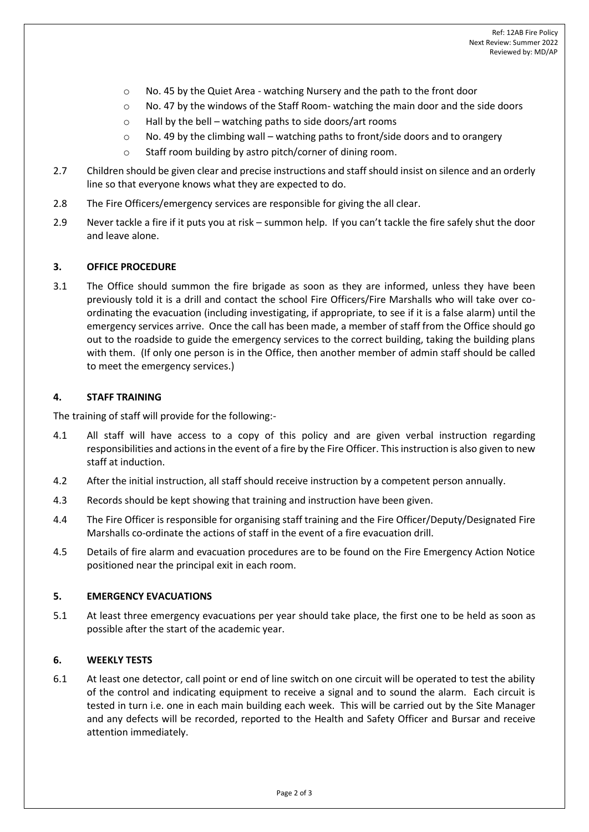- o No. 45 by the Quiet Area watching Nursery and the path to the front door
- $\circ$  No. 47 by the windows of the Staff Room- watching the main door and the side doors
- $\circ$  Hall by the bell watching paths to side doors/art rooms
- $\circ$  No. 49 by the climbing wall watching paths to front/side doors and to orangery
- o Staff room building by astro pitch/corner of dining room.
- 2.7 Children should be given clear and precise instructions and staff should insist on silence and an orderly line so that everyone knows what they are expected to do.
- 2.8 The Fire Officers/emergency services are responsible for giving the all clear.
- 2.9 Never tackle a fire if it puts you at risk summon help. If you can't tackle the fire safely shut the door and leave alone.

### **3. OFFICE PROCEDURE**

3.1 The Office should summon the fire brigade as soon as they are informed, unless they have been previously told it is a drill and contact the school Fire Officers/Fire Marshalls who will take over coordinating the evacuation (including investigating, if appropriate, to see if it is a false alarm) until the emergency services arrive. Once the call has been made, a member of staff from the Office should go out to the roadside to guide the emergency services to the correct building, taking the building plans with them. (If only one person is in the Office, then another member of admin staff should be called to meet the emergency services.)

#### **4. STAFF TRAINING**

The training of staff will provide for the following:-

- 4.1 All staff will have access to a copy of this policy and are given verbal instruction regarding responsibilities and actions in the event of a fire by the Fire Officer. This instruction is also given to new staff at induction.
- 4.2 After the initial instruction, all staff should receive instruction by a competent person annually.
- 4.3 Records should be kept showing that training and instruction have been given.
- 4.4 The Fire Officer is responsible for organising staff training and the Fire Officer/Deputy/Designated Fire Marshalls co-ordinate the actions of staff in the event of a fire evacuation drill.
- 4.5 Details of fire alarm and evacuation procedures are to be found on the Fire Emergency Action Notice positioned near the principal exit in each room.

#### **5. EMERGENCY EVACUATIONS**

5.1 At least three emergency evacuations per year should take place, the first one to be held as soon as possible after the start of the academic year.

## **6. WEEKLY TESTS**

6.1 At least one detector, call point or end of line switch on one circuit will be operated to test the ability of the control and indicating equipment to receive a signal and to sound the alarm. Each circuit is tested in turn i.e. one in each main building each week. This will be carried out by the Site Manager and any defects will be recorded, reported to the Health and Safety Officer and Bursar and receive attention immediately.